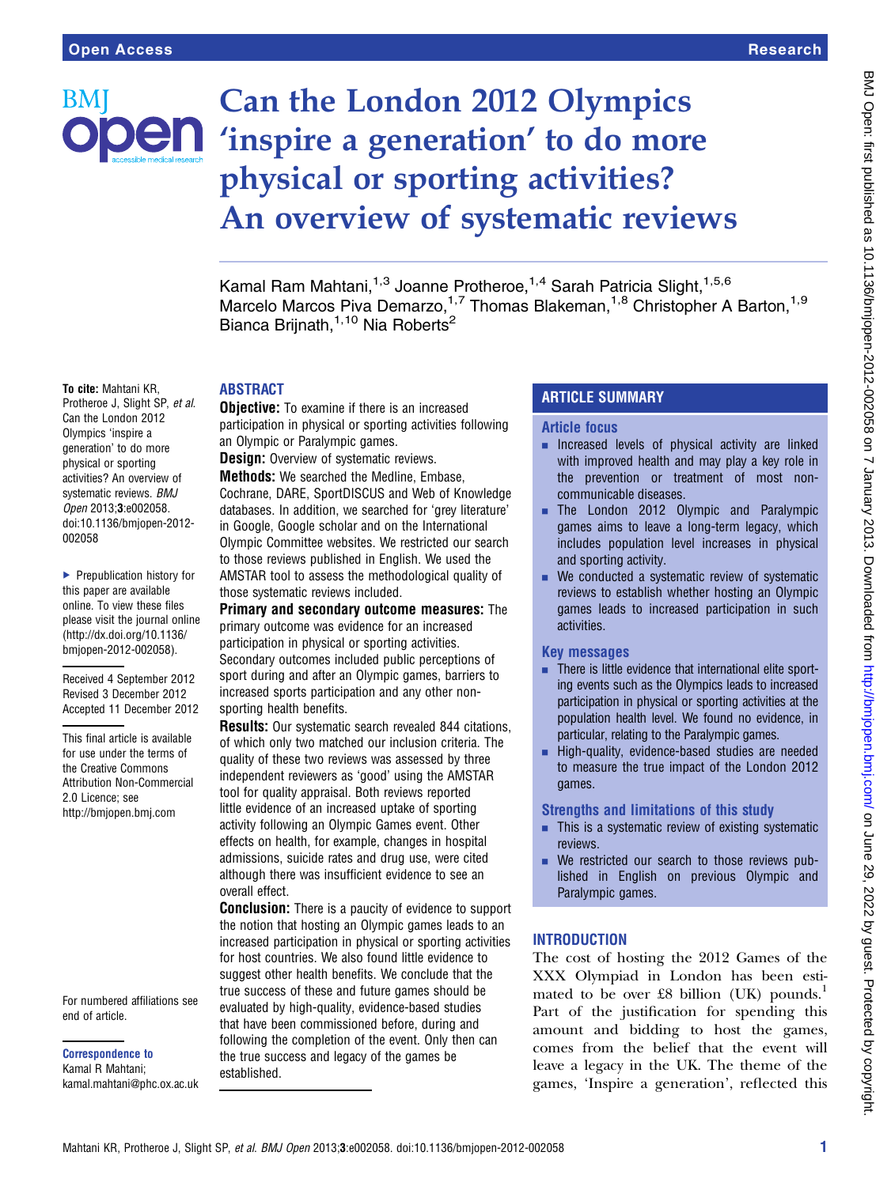**BM** 

Can the London 2012 Olympics 'inspire a generation' to do more physical or sporting activities? An overview of systematic reviews. BMJ Open 2013;3:e002058. doi:10.1136/bmjopen-2012-

▶ Prepublication history for this paper are available online. To view these files please visit the journal online [\(http://dx.doi.org/10.1136/](http://dx.doi.org/10.1136/bmjopen-2012-002058) [bmjopen-2012-002058](http://dx.doi.org/10.1136/bmjopen-2012-002058)). Received 4 September 2012 Revised 3 December 2012 Accepted 11 December 2012 This final article is available for use under the terms of

002058

# Can the London 2012 Olympics **OEN** 'inspire a generation' to do more physical or sporting activities? An overview of systematic reviews

Kamal Ram Mahtani,<sup>1,3</sup> Joanne Protheroe,<sup>1,4</sup> Sarah Patricia Slight,<sup>1,5,6</sup> Marcelo Marcos Piva Demarzo,<sup>1,7</sup> Thomas Blakeman,<sup>1,8</sup> Christopher A Barton,<sup>1,9</sup> Bianca Brijnath,<sup>1,10</sup> Nia Roberts<sup>2</sup>

#### To cite: Mahtani KR, Protheroe J, Slight SP, et al. ABSTRACT

**Objective:** To examine if there is an increased participation in physical or sporting activities following an Olympic or Paralympic games.

**Design:** Overview of systematic reviews.

Methods: We searched the Medline, Embase, Cochrane, DARE, SportDISCUS and Web of Knowledge databases. In addition, we searched for 'grey literature' in Google, Google scholar and on the International Olympic Committee websites. We restricted our search to those reviews published in English. We used the AMSTAR tool to assess the methodological quality of those systematic reviews included.

Primary and secondary outcome measures: The primary outcome was evidence for an increased participation in physical or sporting activities. Secondary outcomes included public perceptions of sport during and after an Olympic games, barriers to increased sports participation and any other nonsporting health benefits.

**Results:** Our systematic search revealed 844 citations, of which only two matched our inclusion criteria. The quality of these two reviews was assessed by three independent reviewers as 'good' using the AMSTAR tool for quality appraisal. Both reviews reported little evidence of an increased uptake of sporting activity following an Olympic Games event. Other effects on health, for example, changes in hospital admissions, suicide rates and drug use, were cited although there was insufficient evidence to see an overall effect.

**Conclusion:** There is a paucity of evidence to support the notion that hosting an Olympic games leads to an increased participation in physical or sporting activities for host countries. We also found little evidence to suggest other health benefits. We conclude that the true success of these and future games should be evaluated by high-quality, evidence-based studies that have been commissioned before, during and following the completion of the event. Only then can the true success and legacy of the games be established.

## ARTICLE SUMMARY

#### Article focus

- **EX Increased levels of physical activity are linked** with improved health and may play a key role in the prevention or treatment of most noncommunicable diseases.
- **E** The London 2012 Olympic and Paralympic games aims to leave a long-term legacy, which includes population level increases in physical and sporting activity.
- We conducted a systematic review of systematic reviews to establish whether hosting an Olympic games leads to increased participation in such activities.

## Key messages

- $\blacksquare$  There is little evidence that international elite sporting events such as the Olympics leads to increased participation in physical or sporting activities at the population health level. We found no evidence, in particular, relating to the Paralympic games.
- $\blacksquare$  High-quality, evidence-based studies are needed to measure the true impact of the London 2012 games.

## Strengths and limitations of this study

- $\blacksquare$  This is a systematic review of existing systematic reviews.
- We restricted our search to those reviews published in English on previous Olympic and Paralympic games.

## **INTRODUCTION**

The cost of hosting the 2012 Games of the XXX Olympiad in London has been estimated to be over £8 billion (UK) pounds.<sup>1</sup> Part of the justification for spending this amount and bidding to host the games, comes from the belief that the event will leave a legacy in the UK. The theme of the games, 'Inspire a generation', reflected this

## the Creative Commons Attribution Non-Commercial

2.0 Licence; see <http://bmjopen.bmj.com>

For numbered affiliations see end of article.

## Correspondence to

Kamal R Mahtani; kamal.mahtani@phc.ox.ac.uk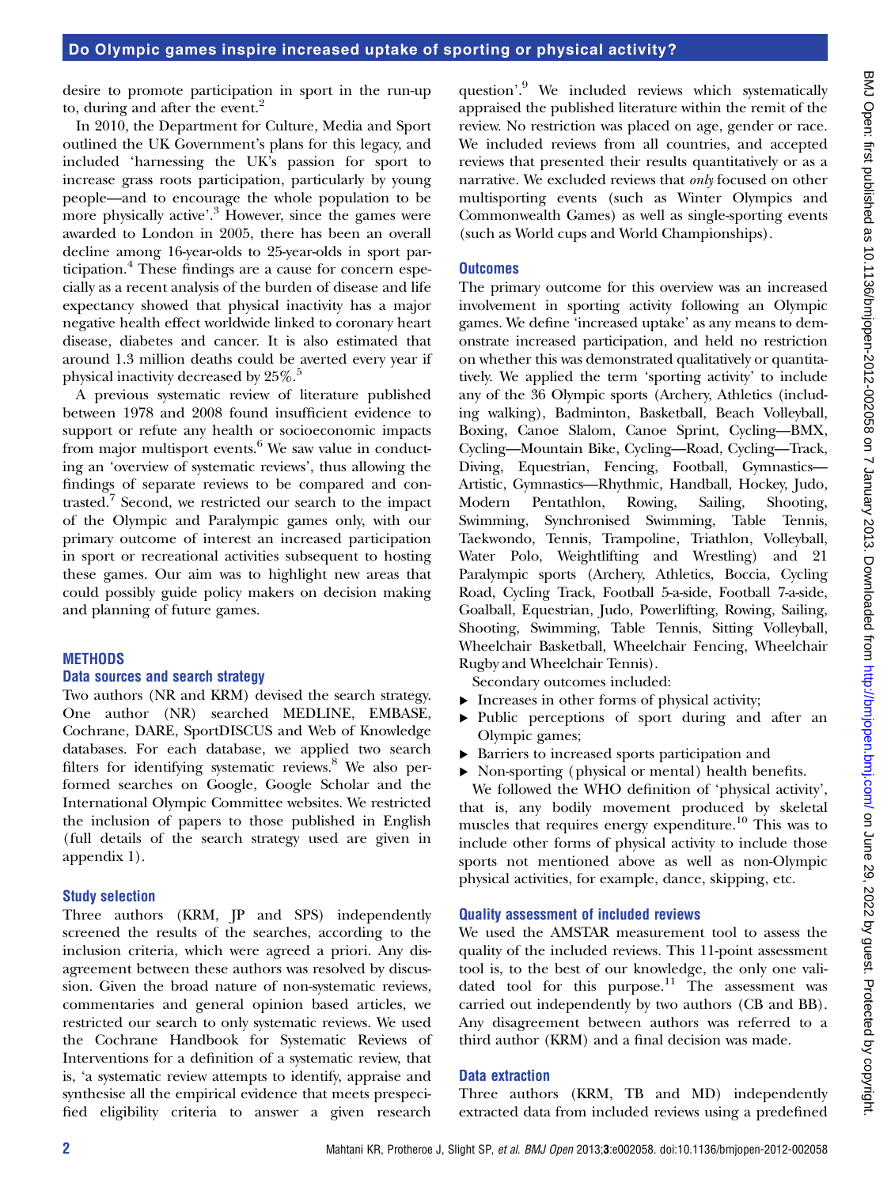desire to promote participation in sport in the run-up to, during and after the event.<sup>2</sup>

In 2010, the Department for Culture, Media and Sport outlined the UK Government's plans for this legacy, and included 'harnessing the UK's passion for sport to increase grass roots participation, particularly by young people—and to encourage the whole population to be more physically active'.<sup>3</sup> However, since the games were awarded to London in 2005, there has been an overall decline among 16-year-olds to 25-year-olds in sport participation.<sup>4</sup> These findings are a cause for concern especially as a recent analysis of the burden of disease and life expectancy showed that physical inactivity has a major negative health effect worldwide linked to coronary heart disease, diabetes and cancer. It is also estimated that around 1.3 million deaths could be averted every year if physical inactivity decreased by 25%.<sup>5</sup>

A previous systematic review of literature published between 1978 and 2008 found insufficient evidence to support or refute any health or socioeconomic impacts from major multisport events.<sup>6</sup> We saw value in conducting an 'overview of systematic reviews', thus allowing the findings of separate reviews to be compared and contrasted.<sup>7</sup> Second, we restricted our search to the impact of the Olympic and Paralympic games only, with our primary outcome of interest an increased participation in sport or recreational activities subsequent to hosting these games. Our aim was to highlight new areas that could possibly guide policy makers on decision making and planning of future games.

#### **METHODS**

#### Data sources and search strategy

Two authors (NR and KRM) devised the search strategy. One author (NR) searched MEDLINE, EMBASE, Cochrane, DARE, SportDISCUS and Web of Knowledge databases. For each database, we applied two search filters for identifying systematic reviews.<sup>8</sup> We also performed searches on Google, Google Scholar and the International Olympic Committee websites. We restricted the inclusion of papers to those published in English (full details of the search strategy used are given in appendix 1).

#### Study selection

Three authors (KRM, JP and SPS) independently screened the results of the searches, according to the inclusion criteria, which were agreed a priori. Any disagreement between these authors was resolved by discussion. Given the broad nature of non-systematic reviews, commentaries and general opinion based articles, we restricted our search to only systematic reviews. We used the Cochrane Handbook for Systematic Reviews of Interventions for a definition of a systematic review, that is, 'a systematic review attempts to identify, appraise and synthesise all the empirical evidence that meets prespecified eligibility criteria to answer a given research

question'. <sup>9</sup> We included reviews which systematically appraised the published literature within the remit of the review. No restriction was placed on age, gender or race. We included reviews from all countries, and accepted reviews that presented their results quantitatively or as a narrative. We excluded reviews that only focused on other multisporting events (such as Winter Olympics and Commonwealth Games) as well as single-sporting events (such as World cups and World Championships).

### **Outcomes**

The primary outcome for this overview was an increased involvement in sporting activity following an Olympic games. We define 'increased uptake' as any means to demonstrate increased participation, and held no restriction on whether this was demonstrated qualitatively or quantitatively. We applied the term 'sporting activity' to include any of the 36 Olympic sports (Archery, Athletics (including walking), Badminton, Basketball, Beach Volleyball, Boxing, Canoe Slalom, Canoe Sprint, Cycling—BMX, Cycling—Mountain Bike, Cycling—Road, Cycling—Track, Diving, Equestrian, Fencing, Football, Gymnastics— Artistic, Gymnastics—Rhythmic, Handball, Hockey, Judo, Modern Pentathlon, Rowing, Sailing, Shooting, Swimming, Synchronised Swimming, Table Tennis, Taekwondo, Tennis, Trampoline, Triathlon, Volleyball, Water Polo, Weightlifting and Wrestling) and 21 Paralympic sports (Archery, Athletics, Boccia, Cycling Road, Cycling Track, Football 5-a-side, Football 7-a-side, Goalball, Equestrian, Judo, Powerlifting, Rowing, Sailing, Shooting, Swimming, Table Tennis, Sitting Volleyball, Wheelchair Basketball, Wheelchair Fencing, Wheelchair Rugby and Wheelchair Tennis).

Secondary outcomes included:

- ▸ Increases in other forms of physical activity;
- ▸ Public perceptions of sport during and after an Olympic games;
- ▸ Barriers to increased sports participation and
- ▸ Non-sporting (physical or mental) health benefits.

We followed the WHO definition of 'physical activity', that is, any bodily movement produced by skeletal muscles that requires energy expenditure.<sup>10</sup> This was to include other forms of physical activity to include those sports not mentioned above as well as non-Olympic physical activities, for example, dance, skipping, etc.

#### Quality assessment of included reviews

We used the AMSTAR measurement tool to assess the quality of the included reviews. This 11-point assessment tool is, to the best of our knowledge, the only one validated tool for this purpose.<sup>11</sup> The assessment was carried out independently by two authors (CB and BB). Any disagreement between authors was referred to a third author (KRM) and a final decision was made.

## Data extraction

Three authors (KRM, TB and MD) independently extracted data from included reviews using a predefined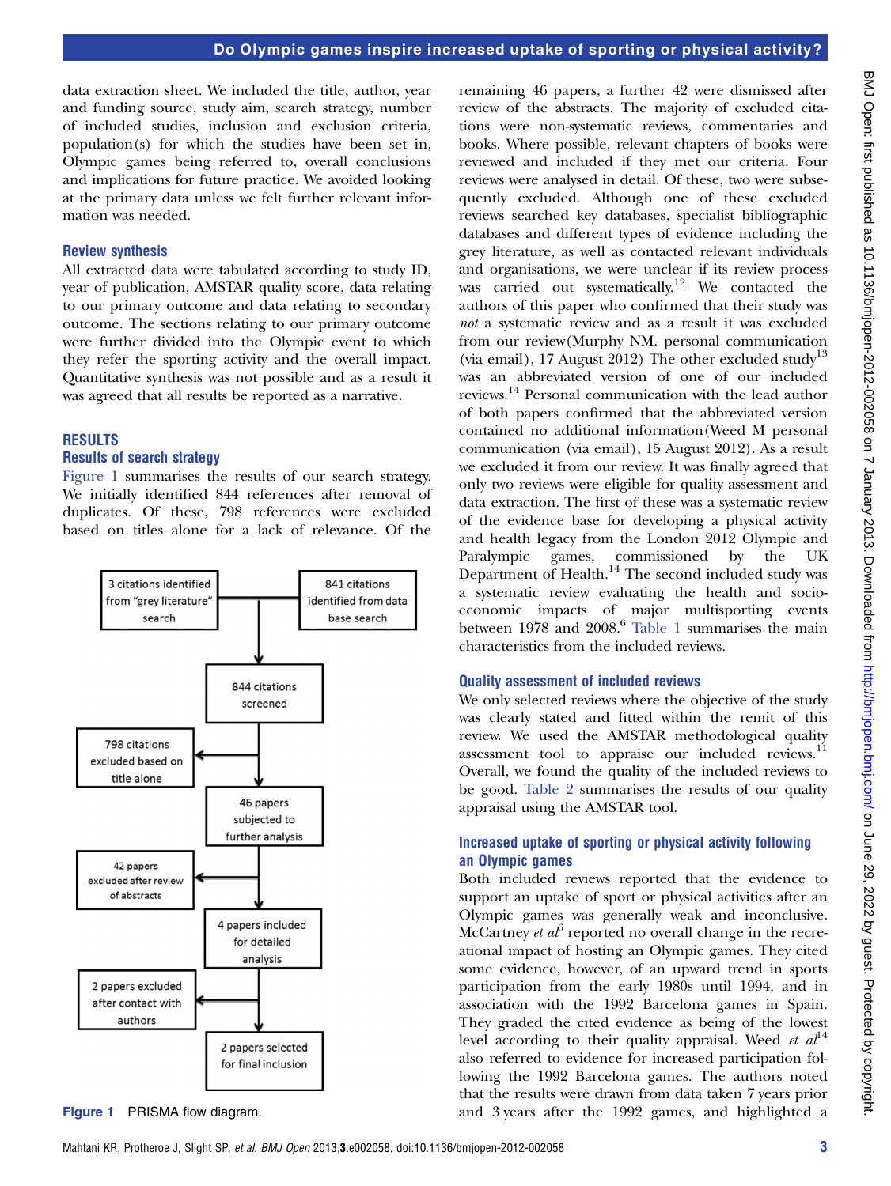data extraction sheet. We included the title, author, year and funding source, study aim, search strategy, number of included studies, inclusion and exclusion criteria, population(s) for which the studies have been set in, Olympic games being referred to, overall conclusions and implications for future practice. We avoided looking at the primary data unless we felt further relevant information was needed.

#### Review synthesis

All extracted data were tabulated according to study ID, year of publication, AMSTAR quality score, data relating to our primary outcome and data relating to secondary outcome. The sections relating to our primary outcome were further divided into the Olympic event to which they refer the sporting activity and the overall impact. Quantitative synthesis was not possible and as a result it was agreed that all results be reported as a narrative.

#### RESULTS

#### Results of search strategy

Figure 1 summarises the results of our search strategy. We initially identified 844 references after removal of duplicates. Of these, 798 references were excluded based on titles alone for a lack of relevance. Of the



remaining 46 papers, a further 42 were dismissed after review of the abstracts. The majority of excluded citations were non-systematic reviews, commentaries and books. Where possible, relevant chapters of books were reviewed and included if they met our criteria. Four reviews were analysed in detail. Of these, two were subsequently excluded. Although one of these excluded reviews searched key databases, specialist bibliographic databases and different types of evidence including the grey literature, as well as contacted relevant individuals and organisations, we were unclear if its review process was carried out systematically.<sup>12</sup> We contacted the authors of this paper who confirmed that their study was not a systematic review and as a result it was excluded from our review(Murphy NM. personal communication (via email), 17 August 2012) The other excluded study<sup>13</sup> was an abbreviated version of one of our included reviews.<sup>14</sup> Personal communication with the lead author of both papers confirmed that the abbreviated version contained no additional information(Weed M personal communication (via email), 15 August 2012). As a result we excluded it from our review. It was finally agreed that only two reviews were eligible for quality assessment and data extraction. The first of these was a systematic review of the evidence base for developing a physical activity and health legacy from the London 2012 Olympic and Paralympic games, commissioned by the UK Department of Health.<sup>14</sup> The second included study was a systematic review evaluating the health and socioeconomic impacts of major multisporting events between 1978 and 2008.<sup>6</sup> Table 1 summarises the main

#### Quality assessment of included reviews

characteristics from the included reviews.

We only selected reviews where the objective of the study was clearly stated and fitted within the remit of this review. We used the AMSTAR methodological quality assessment tool to appraise our included reviews.<sup>11</sup> Overall, we found the quality of the included reviews to be good. Table 2 summarises the results of our quality appraisal using the AMSTAR tool.

## Increased uptake of sporting or physical activity following an Olympic games

Both included reviews reported that the evidence to support an uptake of sport or physical activities after an Olympic games was generally weak and inconclusive. McCartney *et a* $\ell^6$  reported no overall change in the recreational impact of hosting an Olympic games. They cited some evidence, however, of an upward trend in sports participation from the early 1980s until 1994, and in association with the 1992 Barcelona games in Spain. They graded the cited evidence as being of the lowest level according to their quality appraisal. Weed *et al*<sup>14</sup> also referred to evidence for increased participation following the 1992 Barcelona games. The authors noted that the results were drawn from data taken 7 years prior Figure 1 PRISMA flow diagram. The same and 3 years after the 1992 games, and highlighted a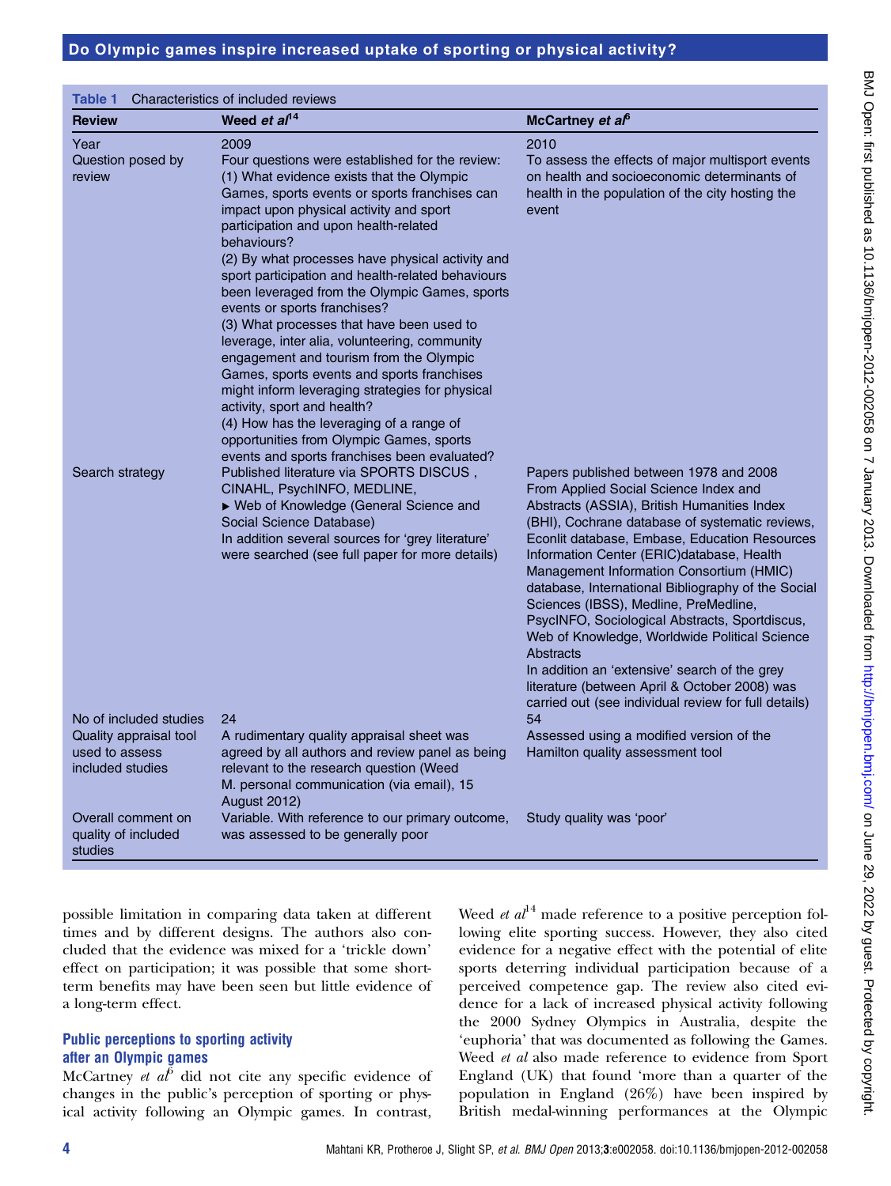| Table 1<br>Characteristics of included reviews                                         |                                                                                                                                                                                                                                                                                                                                                                                                                                                                                                                                                                                                                                                                                                                                                                                                                     |                                                                                                                                                                                                                                                                                                                                                                                                                                                                                                                                                                                                                                                                                                             |  |
|----------------------------------------------------------------------------------------|---------------------------------------------------------------------------------------------------------------------------------------------------------------------------------------------------------------------------------------------------------------------------------------------------------------------------------------------------------------------------------------------------------------------------------------------------------------------------------------------------------------------------------------------------------------------------------------------------------------------------------------------------------------------------------------------------------------------------------------------------------------------------------------------------------------------|-------------------------------------------------------------------------------------------------------------------------------------------------------------------------------------------------------------------------------------------------------------------------------------------------------------------------------------------------------------------------------------------------------------------------------------------------------------------------------------------------------------------------------------------------------------------------------------------------------------------------------------------------------------------------------------------------------------|--|
| <b>Review</b>                                                                          | Weed et al <sup>14</sup>                                                                                                                                                                                                                                                                                                                                                                                                                                                                                                                                                                                                                                                                                                                                                                                            | McCartney et af                                                                                                                                                                                                                                                                                                                                                                                                                                                                                                                                                                                                                                                                                             |  |
| Year<br>Question posed by<br>review                                                    | 2009<br>Four questions were established for the review:<br>(1) What evidence exists that the Olympic<br>Games, sports events or sports franchises can<br>impact upon physical activity and sport<br>participation and upon health-related<br>behaviours?<br>(2) By what processes have physical activity and<br>sport participation and health-related behaviours<br>been leveraged from the Olympic Games, sports<br>events or sports franchises?<br>(3) What processes that have been used to<br>leverage, inter alia, volunteering, community<br>engagement and tourism from the Olympic<br>Games, sports events and sports franchises<br>might inform leveraging strategies for physical<br>activity, sport and health?<br>(4) How has the leveraging of a range of<br>opportunities from Olympic Games, sports | 2010<br>To assess the effects of major multisport events<br>on health and socioeconomic determinants of<br>health in the population of the city hosting the<br>event                                                                                                                                                                                                                                                                                                                                                                                                                                                                                                                                        |  |
| Search strategy                                                                        | events and sports franchises been evaluated?<br>Published literature via SPORTS DISCUS,<br>CINAHL, PsychINFO, MEDLINE,<br>▶ Web of Knowledge (General Science and<br>Social Science Database)<br>In addition several sources for 'grey literature'<br>were searched (see full paper for more details)                                                                                                                                                                                                                                                                                                                                                                                                                                                                                                               | Papers published between 1978 and 2008<br>From Applied Social Science Index and<br>Abstracts (ASSIA), British Humanities Index<br>(BHI), Cochrane database of systematic reviews,<br>Econlit database, Embase, Education Resources<br>Information Center (ERIC)database, Health<br>Management Information Consortium (HMIC)<br>database, International Bibliography of the Social<br>Sciences (IBSS), Medline, PreMedline,<br>PsycINFO, Sociological Abstracts, Sportdiscus,<br>Web of Knowledge, Worldwide Political Science<br><b>Abstracts</b><br>In addition an 'extensive' search of the grey<br>literature (between April & October 2008) was<br>carried out (see individual review for full details) |  |
| No of included studies<br>Quality appraisal tool<br>used to assess<br>included studies | 24<br>A rudimentary quality appraisal sheet was<br>agreed by all authors and review panel as being<br>relevant to the research question (Weed<br>M. personal communication (via email), 15<br><b>August 2012)</b>                                                                                                                                                                                                                                                                                                                                                                                                                                                                                                                                                                                                   | 54<br>Assessed using a modified version of the<br>Hamilton quality assessment tool                                                                                                                                                                                                                                                                                                                                                                                                                                                                                                                                                                                                                          |  |
| Overall comment on<br>quality of included<br>studies                                   | Variable. With reference to our primary outcome,<br>was assessed to be generally poor                                                                                                                                                                                                                                                                                                                                                                                                                                                                                                                                                                                                                                                                                                                               | Study quality was 'poor'                                                                                                                                                                                                                                                                                                                                                                                                                                                                                                                                                                                                                                                                                    |  |

possible limitation in comparing data taken at different times and by different designs. The authors also concluded that the evidence was mixed for a 'trickle down' effect on participation; it was possible that some shortterm benefits may have been seen but little evidence of a long-term effect.

## Public perceptions to sporting activity after an Olympic games

McCartney et  $a^6$  did not cite any specific evidence of changes in the public's perception of sporting or physical activity following an Olympic games. In contrast,

Weed *et*  $al<sup>14</sup>$  made reference to a positive perception following elite sporting success. However, they also cited evidence for a negative effect with the potential of elite sports deterring individual participation because of a perceived competence gap. The review also cited evidence for a lack of increased physical activity following the 2000 Sydney Olympics in Australia, despite the 'euphoria' that was documented as following the Games. Weed *et al* also made reference to evidence from Sport England (UK) that found 'more than a quarter of the population in England (26%) have been inspired by British medal-winning performances at the Olympic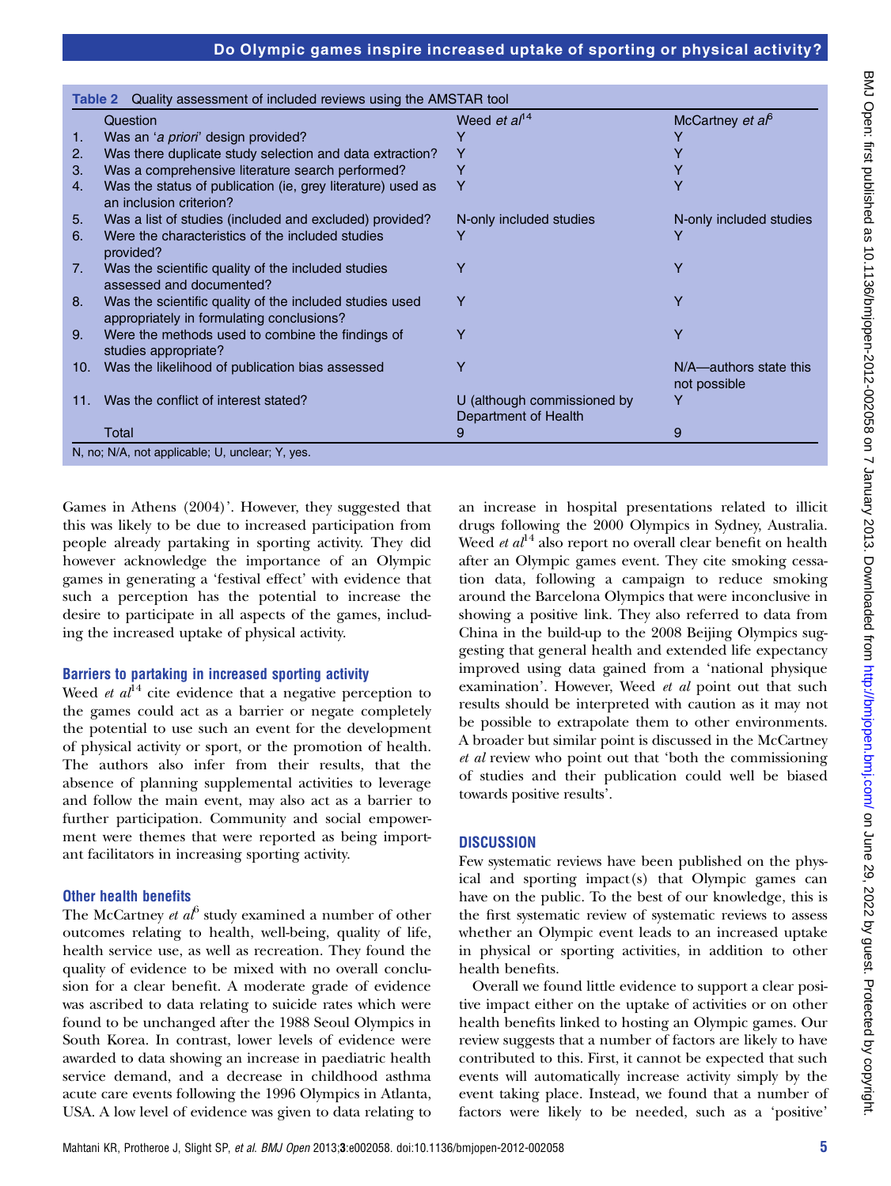|                | Table 2 Quality assessment of included reviews using the AMSTAR tool                                 |                                                     |                                        |  |
|----------------|------------------------------------------------------------------------------------------------------|-----------------------------------------------------|----------------------------------------|--|
|                | Question                                                                                             | Weed <i>et</i> $a^{14}$                             | McCartney et al®                       |  |
| 1.             | Was an 'a priori' design provided?                                                                   |                                                     |                                        |  |
| 2.             | Was there duplicate study selection and data extraction?                                             | Y                                                   | Υ                                      |  |
| 3.             | Was a comprehensive literature search performed?                                                     |                                                     |                                        |  |
| 4.             | Was the status of publication (ie, grey literature) used as<br>an inclusion criterion?               |                                                     | $\vee$                                 |  |
| 5.             | Was a list of studies (included and excluded) provided?                                              | N-only included studies                             | N-only included studies                |  |
| 6.             | Were the characteristics of the included studies<br>provided?                                        |                                                     |                                        |  |
| 7 <sub>1</sub> | Was the scientific quality of the included studies<br>assessed and documented?                       |                                                     | Y                                      |  |
| 8.             | Was the scientific quality of the included studies used<br>appropriately in formulating conclusions? | Y                                                   | Υ                                      |  |
| 9.             | Were the methods used to combine the findings of<br>studies appropriate?                             | Υ                                                   | Υ                                      |  |
| 10. .          | Was the likelihood of publication bias assessed                                                      | Υ                                                   | N/A—authors state this<br>not possible |  |
| 11.            | Was the conflict of interest stated?                                                                 | U (although commissioned by<br>Department of Health | v                                      |  |
|                | Total                                                                                                | 9                                                   | 9                                      |  |
|                | N, no; N/A, not applicable; U, unclear; Y, yes.                                                      |                                                     |                                        |  |

Games in Athens (2004)'. However, they suggested that this was likely to be due to increased participation from people already partaking in sporting activity. They did however acknowledge the importance of an Olympic games in generating a 'festival effect' with evidence that such a perception has the potential to increase the desire to participate in all aspects of the games, including the increased uptake of physical activity.

## Barriers to partaking in increased sporting activity

Weed *et al*<sup>14</sup> cite evidence that a negative perception to the games could act as a barrier or negate completely the potential to use such an event for the development of physical activity or sport, or the promotion of health. The authors also infer from their results, that the absence of planning supplemental activities to leverage and follow the main event, may also act as a barrier to further participation. Community and social empowerment were themes that were reported as being important facilitators in increasing sporting activity.

## Other health benefits

The McCartney et  $a^6$  study examined a number of other outcomes relating to health, well-being, quality of life, health service use, as well as recreation. They found the quality of evidence to be mixed with no overall conclusion for a clear benefit. A moderate grade of evidence was ascribed to data relating to suicide rates which were found to be unchanged after the 1988 Seoul Olympics in South Korea. In contrast, lower levels of evidence were awarded to data showing an increase in paediatric health service demand, and a decrease in childhood asthma acute care events following the 1996 Olympics in Atlanta, USA. A low level of evidence was given to data relating to an increase in hospital presentations related to illicit drugs following the 2000 Olympics in Sydney, Australia. Weed *et al*<sup>14</sup> also report no overall clear benefit on health after an Olympic games event. They cite smoking cessation data, following a campaign to reduce smoking around the Barcelona Olympics that were inconclusive in showing a positive link. They also referred to data from China in the build-up to the 2008 Beijing Olympics suggesting that general health and extended life expectancy improved using data gained from a 'national physique examination'. However, Weed et al point out that such results should be interpreted with caution as it may not be possible to extrapolate them to other environments. A broader but similar point is discussed in the McCartney et al review who point out that 'both the commissioning of studies and their publication could well be biased towards positive results'.

## **DISCUSSION**

Few systematic reviews have been published on the physical and sporting impact(s) that Olympic games can have on the public. To the best of our knowledge, this is the first systematic review of systematic reviews to assess whether an Olympic event leads to an increased uptake in physical or sporting activities, in addition to other health benefits.

Overall we found little evidence to support a clear positive impact either on the uptake of activities or on other health benefits linked to hosting an Olympic games. Our review suggests that a number of factors are likely to have contributed to this. First, it cannot be expected that such events will automatically increase activity simply by the event taking place. Instead, we found that a number of factors were likely to be needed, such as a 'positive'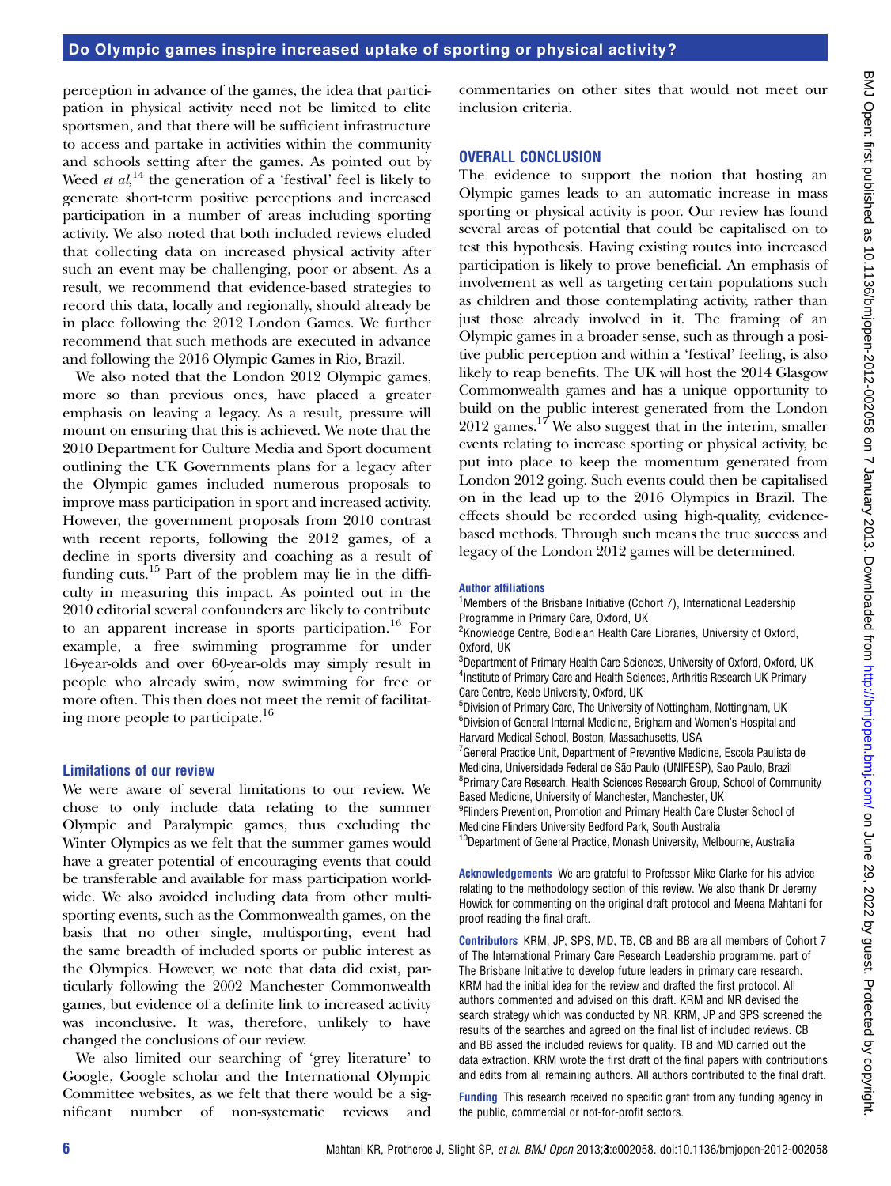perception in advance of the games, the idea that participation in physical activity need not be limited to elite sportsmen, and that there will be sufficient infrastructure to access and partake in activities within the community and schools setting after the games. As pointed out by Weed *et al*,<sup>14</sup> the generation of a 'festival' feel is likely to generate short-term positive perceptions and increased participation in a number of areas including sporting activity. We also noted that both included reviews eluded that collecting data on increased physical activity after such an event may be challenging, poor or absent. As a result, we recommend that evidence-based strategies to record this data, locally and regionally, should already be in place following the 2012 London Games. We further recommend that such methods are executed in advance and following the 2016 Olympic Games in Rio, Brazil.

We also noted that the London 2012 Olympic games, more so than previous ones, have placed a greater emphasis on leaving a legacy. As a result, pressure will mount on ensuring that this is achieved. We note that the 2010 Department for Culture Media and Sport document outlining the UK Governments plans for a legacy after the Olympic games included numerous proposals to improve mass participation in sport and increased activity. However, the government proposals from 2010 contrast with recent reports, following the 2012 games, of a decline in sports diversity and coaching as a result of funding cuts.<sup>15</sup> Part of the problem may lie in the difficulty in measuring this impact. As pointed out in the 2010 editorial several confounders are likely to contribute to an apparent increase in sports participation.<sup>16</sup> For example, a free swimming programme for under 16-year-olds and over 60-year-olds may simply result in people who already swim, now swimming for free or more often. This then does not meet the remit of facilitating more people to participate.<sup>16</sup>

#### Limitations of our review

We were aware of several limitations to our review. We chose to only include data relating to the summer Olympic and Paralympic games, thus excluding the Winter Olympics as we felt that the summer games would have a greater potential of encouraging events that could be transferable and available for mass participation worldwide. We also avoided including data from other multisporting events, such as the Commonwealth games, on the basis that no other single, multisporting, event had the same breadth of included sports or public interest as the Olympics. However, we note that data did exist, particularly following the 2002 Manchester Commonwealth games, but evidence of a definite link to increased activity was inconclusive. It was, therefore, unlikely to have changed the conclusions of our review.

We also limited our searching of 'grey literature' to Google, Google scholar and the International Olympic Committee websites, as we felt that there would be a significant number of non-systematic reviews and

commentaries on other sites that would not meet our inclusion criteria.

#### OVERALL CONCLUSION

The evidence to support the notion that hosting an Olympic games leads to an automatic increase in mass sporting or physical activity is poor. Our review has found several areas of potential that could be capitalised on to test this hypothesis. Having existing routes into increased participation is likely to prove beneficial. An emphasis of involvement as well as targeting certain populations such as children and those contemplating activity, rather than just those already involved in it. The framing of an Olympic games in a broader sense, such as through a positive public perception and within a 'festival' feeling, is also likely to reap benefits. The UK will host the 2014 Glasgow Commonwealth games and has a unique opportunity to build on the public interest generated from the London  $2012$  games.<sup>17</sup> We also suggest that in the interim, smaller events relating to increase sporting or physical activity, be put into place to keep the momentum generated from London 2012 going. Such events could then be capitalised on in the lead up to the 2016 Olympics in Brazil. The effects should be recorded using high-quality, evidencebased methods. Through such means the true success and legacy of the London 2012 games will be determined.

#### Author affiliations

<sup>1</sup>Members of the Brisbane Initiative (Cohort 7), International Leadership Programme in Primary Care, Oxford, UK

<sup>2</sup>Knowledge Centre, Bodleian Health Care Libraries, University of Oxford, Oxford, UK

<sup>3</sup>Department of Primary Health Care Sciences, University of Oxford, Oxford, UK <sup>4</sup>Institute of Primary Care and Health Sciences, Arthritis Research UK Primary Care Centre, Keele University, Oxford, UK

5 Division of Primary Care, The University of Nottingham, Nottingham, UK 6 Division of General Internal Medicine, Brigham and Women's Hospital and Harvard Medical School, Boston, Massachusetts, USA

<sup>7</sup> General Practice Unit, Department of Preventive Medicine, Escola Paulista de Medicina, Universidade Federal de São Paulo (UNIFESP), Sao Paulo, Brazil <sup>8</sup> Primary Care Research, Health Sciences Research Group, School of Community Based Medicine, University of Manchester, Manchester, UK

<sup>9</sup> Flinders Prevention, Promotion and Primary Health Care Cluster School of Medicine Flinders University Bedford Park, South Australia

<sup>10</sup>Department of General Practice, Monash University, Melbourne, Australia

Acknowledgements We are grateful to Professor Mike Clarke for his advice relating to the methodology section of this review. We also thank Dr Jeremy Howick for commenting on the original draft protocol and Meena Mahtani for proof reading the final draft.

Contributors KRM, JP, SPS, MD, TB, CB and BB are all members of Cohort 7 of The International Primary Care Research Leadership programme, part of The Brisbane Initiative to develop future leaders in primary care research. KRM had the initial idea for the review and drafted the first protocol. All authors commented and advised on this draft. KRM and NR devised the search strategy which was conducted by NR. KRM, JP and SPS screened the results of the searches and agreed on the final list of included reviews. CB and BB assed the included reviews for quality. TB and MD carried out the data extraction. KRM wrote the first draft of the final papers with contributions and edits from all remaining authors. All authors contributed to the final draft.

Funding This research received no specific grant from any funding agency in the public, commercial or not-for-profit sectors.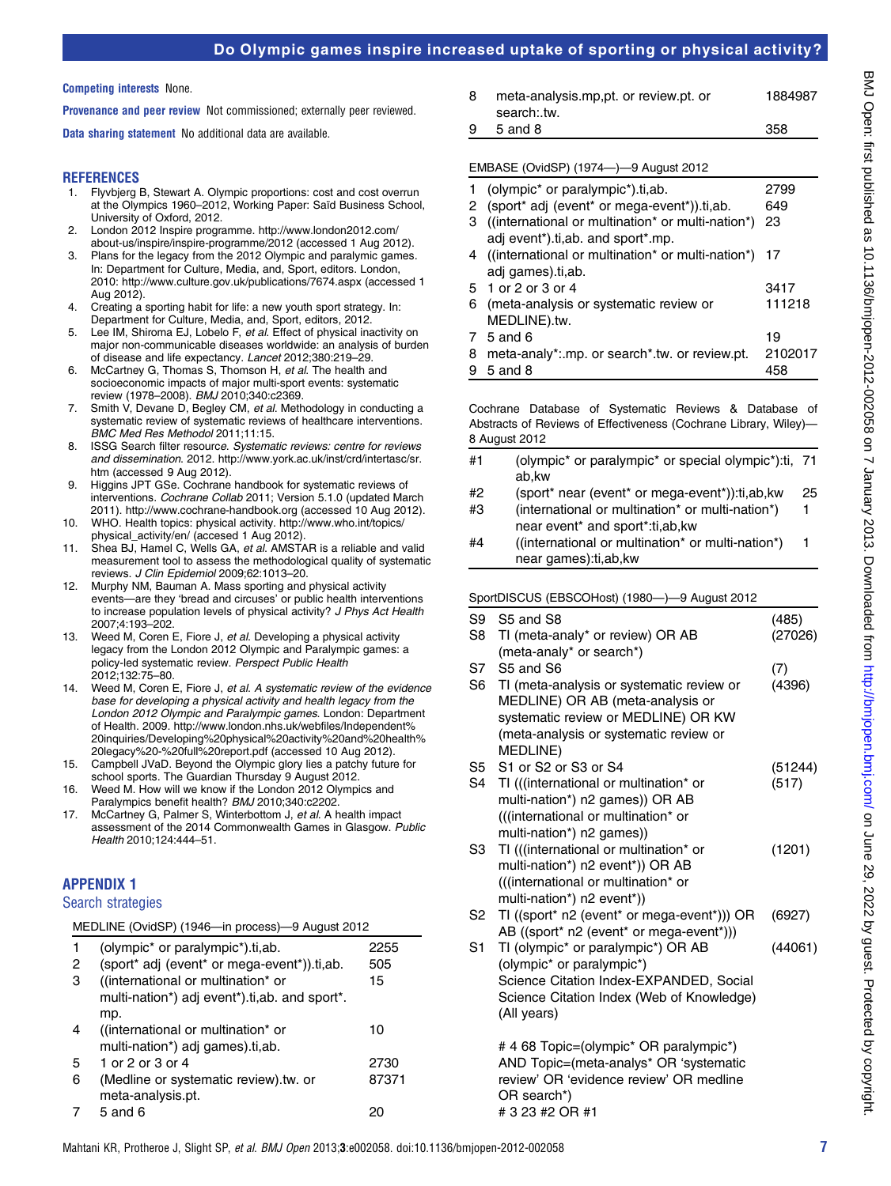Provenance and peer review Not commissioned; externally peer reviewed.

Data sharing statement No additional data are available.

#### **REFERENCES**

- 1. Flyvbjerg B, Stewart A. Olympic proportions: cost and cost overrun at the Olympics 1960–2012, Working Paper: Saïd Business School, University of Oxford, 2012.
- 2. London 2012 Inspire programme. [http://www.london2012.com/](http://www.london2012.com/about-us/inspire/inspire-programme/) [about-us/inspire/inspire-programme/](http://www.london2012.com/about-us/inspire/inspire-programme/)2012 (accessed 1 Aug 2012).
- 3. Plans for the legacy from the 2012 Olympic and paralymic games. In: Department for Culture, Media, and, Sport, editors. London, 2010:<http://www.culture.gov.uk/publications/7674.aspx> (accessed 1 Aug 2012).
- 4. Creating a sporting habit for life: a new youth sport strategy. In: Department for Culture, Media, and, Sport, editors, 2012.
- 5. Lee IM, Shiroma EJ, Lobelo F, et al. Effect of physical inactivity on major non-communicable diseases worldwide: an analysis of burden of disease and life expectancy. Lancet 2012;380:219–29.
- 6. McCartney G, Thomas S, Thomson H, et al. The health and socioeconomic impacts of major multi-sport events: systematic review (1978–2008). BMJ 2010;340:c2369.
- 7. Smith V, Devane D, Begley CM, et al. Methodology in conducting a systematic review of systematic reviews of healthcare interventions. BMC Med Res Methodol 2011;11:15.
- 8. ISSG Search filter resource. Systematic reviews: centre for reviews and dissemination. 2012. [http://www.york.ac.uk/inst/crd/intertasc/sr.](http://www.york.ac.uk/inst/crd/intertasc/sr.htm) [htm](http://www.york.ac.uk/inst/crd/intertasc/sr.htm) (accessed 9 Aug 2012).
- 9. Higgins JPT GSe. Cochrane handbook for systematic reviews of interventions. Cochrane Collab 2011; Version 5.1.0 (updated March 2011).<http://www.cochrane-handbook.org> (accessed 10 Aug 2012).
- 10. WHO. Health topics: physical activity. [http://www.who.int/topics/](http://www.who.int/topics/physical_activity/en/) [physical\\_activity/en/](http://www.who.int/topics/physical_activity/en/) (accesed 1 Aug 2012).
- 11. Shea BJ, Hamel C, Wells GA, et al. AMSTAR is a reliable and valid measurement tool to assess the methodological quality of systematic reviews. J Clin Epidemiol 2009;62:1013–20.
- 12. Murphy NM, Bauman A. Mass sporting and physical activity events—are they 'bread and circuses' or public health interventions to increase population levels of physical activity? J Phys Act Health 2007;4:193–202.
- 13. Weed M, Coren E, Fiore J, et al. Developing a physical activity legacy from the London 2012 Olympic and Paralympic games: a policy-led systematic review. Perspect Public Health 2012;132:75–80.
- 14. Weed M, Coren E, Fiore J, et al. A systematic review of the evidence base for developing a physical activity and health legacy from the London 2012 Olympic and Paralympic games. London: Department of Health. 2009. [http://www.london.nhs.uk/webfiles/Independent%](http://www.london.nhs.uk/webfiles/Independent%20inquiries/Developing%20physical%20activity%20and%20health%20legacy%20-%20full%20report.pdf) [20inquiries/Developing%20physical%20activity%20and%20health%](http://www.london.nhs.uk/webfiles/Independent%20inquiries/Developing%20physical%20activity%20and%20health%20legacy%20-%20full%20report.pdf) [20legacy%20-%20full%20report.pdf](http://www.london.nhs.uk/webfiles/Independent%20inquiries/Developing%20physical%20activity%20and%20health%20legacy%20-%20full%20report.pdf) (accessed 10 Aug 2012).
- 15. Campbell JVaD. Beyond the Olympic glory lies a patchy future for school sports. The Guardian Thursday 9 August 2012.
- 16. Weed M. How will we know if the London 2012 Olympics and Paralympics benefit health? BMJ 2010;340:c2202.
- 17. McCartney G, Palmer S, Winterbottom J, et al. A health impact assessment of the 2014 Commonwealth Games in Glasgow. Public Health 2010;124:444–51.

#### APPENDIX 1

## Search strategies

|                                                  | σσαιντι οιιαισγισο                                        |       |
|--------------------------------------------------|-----------------------------------------------------------|-------|
| MEDLINE (OvidSP) (1946-in process)-9 August 2012 |                                                           |       |
| 1                                                | (olympic <sup>*</sup> or paralympic <sup>*</sup> ).ti,ab. | 2255  |
| 2                                                | (sport* adj (event* or mega-event*)).ti,ab.               | 505   |
| 3                                                | ((international or multination* or                        | 15    |
|                                                  | multi-nation*) adj event*).ti, ab. and sport*.            |       |
|                                                  | mp.                                                       |       |
| 4                                                | (international or multination* or                         | 10    |
|                                                  | multi-nation*) adj games).ti,ab.                          |       |
| 5                                                | 1 or 2 or 3 or 4                                          | 2730  |
| 6                                                | (Medline or systematic review).tw. or                     | 87371 |
|                                                  | meta-analysis.pt.                                         |       |
|                                                  | 5 and 6                                                   |       |

| 8 | meta-analysis.mp.pt. or review.pt. or | 1884987 |
|---|---------------------------------------|---------|
|   | search:.tw.                           |         |
|   |                                       |         |

9 5 and 8 358

| EMBASE (OvidSP) (1974-)-9 August 2012 |                                                           |         |
|---------------------------------------|-----------------------------------------------------------|---------|
| 1.                                    | (olympic <sup>*</sup> or paralympic <sup>*</sup> ).ti,ab. | 2799    |
|                                       | 2 (sport* adj (event* or mega-event*)).ti,ab.             | 649     |
|                                       | 3 ((international or multination* or multi-nation*)       | 23      |
|                                       | adj event*).ti,ab. and sport*.mp.                         |         |
|                                       | 4 ((international or multination* or multi-nation*) 17    |         |
|                                       | adi games).ti,ab.                                         |         |
|                                       | 5 1 or 2 or 3 or 4                                        | 3417    |
| 6.                                    | (meta-analysis or systematic review or                    | 111218  |
|                                       | MEDLINE).tw.                                              |         |
|                                       | 7 5 and 6                                                 | 19      |
|                                       | 8 meta-analy*:.mp. or search*.tw. or review.pt.           | 2102017 |
| 9.                                    | $5$ and $8$                                               | 458     |

Cochrane Database of Systematic Reviews & Database of Abstracts of Reviews of Effectiveness (Cochrane Library, Wiley)— 8 August 2012

- #1 (olympic\* or paralympic\* or special olympic\*):ti, 71 ab,kw
- #2 (sport\* near (event\* or mega-event\*)):ti,ab,kw 25 #3 (international or multination\* or multi-nation\*) 1
- near event\* and sport\*:ti,ab,kw #4 ((international or multination\* or multi-nation\*) near games):ti,ab,kw 1

SportDISCUS (EBSCOHost) (1980—)—9 August 2012

| S9 l<br>S8 | S5 and S8<br>TI (meta-analy* or review) OR AB                                                                                                                                                   | (485)<br>(27026) |
|------------|-------------------------------------------------------------------------------------------------------------------------------------------------------------------------------------------------|------------------|
|            | (meta-analy* or search*)<br>S5 and S6                                                                                                                                                           |                  |
| S7<br>S6   | TI (meta-analysis or systematic review or<br>MEDLINE) OR AB (meta-analysis or<br>systematic review or MEDLINE) OR KW<br>(meta-analysis or systematic review or<br><b>MEDLINE</b> )              | (7)<br>(4396)    |
| S5 I       | S1 or S2 or S3 or S4                                                                                                                                                                            | (51244)          |
| S4         | TI (((international or multination* or<br>multi-nation*) n2 games)) OR AB<br>(((international or multination* or<br>multi-nation*) n2 games))                                                   | (517)            |
| S3.        | TI (((international or multination* or<br>multi-nation*) n2 event*)) OR AB<br>(((international or multination* or<br>multi-nation*) n2 event*))                                                 | (1201)           |
| S2         | TI ((sport* n2 (event* or mega-event*))) OR<br>AB ((sport* n2 (event* or mega-event*)))                                                                                                         | (6927)           |
| S1         | TI (olympic* or paralympic*) OR AB<br>(olympic <sup>*</sup> or paralympic <sup>*</sup> )<br>Science Citation Index-EXPANDED, Social<br>Science Citation Index (Web of Knowledge)<br>(All years) | (44061)          |
|            | # 4 68 Topic=(olympic* OR paralympic*)<br>AND Topic=(meta-analys* OR 'systematic<br>review' OR 'evidence review' OR medline<br>OR search*)<br># 3 23 #2 OR #1                                   |                  |